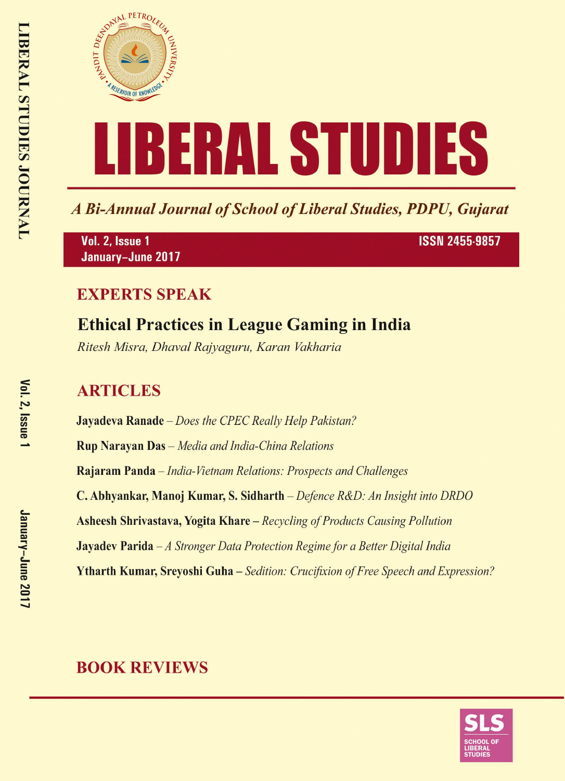

A Bi-Annual Journal of School of Liberal Studies, PDPU, Gujarat

Vol. 2, Issue 1 January-June 2017 **ISSN 2455-9857** 

### **EXPERTS SPEAK**

# **Ethical Practices in League Gaming in India**

Ritesh Misra, Dhaval Rajyaguru, Karan Vakharia

## **ARTICLES**

**Jayadeva Ranade** – Does the CPEC Really Help Pakistan? **Rup Narayan Das** - Media and India-China Relations Rajaram Panda – India-Vietnam Relations: Prospects and Challenges C. Abhyankar, Manoj Kumar, S. Sidharth – Defence R&D: An Insight into DRDO **Asheesh Shrivastava, Yogita Khare** – Recycling of Products Causing Pollution **Jayadev Parida**  $-A$  Stronger Data Protection Regime for a Better Digital India **Ytharth Kumar, Srevoshi Guha** – Sedition: Crucifixion of Free Speech and Expression?

## **BOOK REVIEWS**

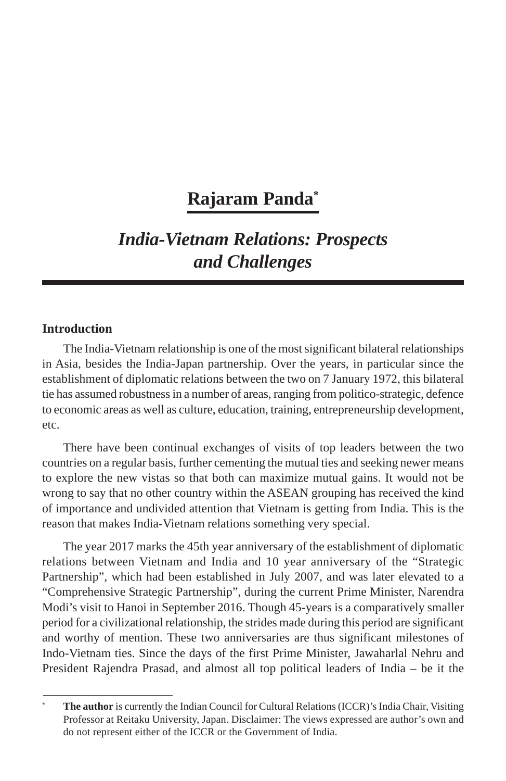## **Rajaram Panda\***

## *India-Vietnam Relations: Prospects and Challenges*

### **Introduction**

The India-Vietnam relationship is one of the most significant bilateral relationships in Asia, besides the India-Japan partnership. Over the years, in particular since the establishment of diplomatic relations between the two on 7 January 1972, this bilateral tie has assumed robustness in a number of areas, ranging from politico-strategic, defence to economic areas as well as culture, education, training, entrepreneurship development, etc.

There have been continual exchanges of visits of top leaders between the two countries on a regular basis, further cementing the mutual ties and seeking newer means to explore the new vistas so that both can maximize mutual gains. It would not be wrong to say that no other country within the ASEAN grouping has received the kind of importance and undivided attention that Vietnam is getting from India. This is the reason that makes India-Vietnam relations something very special.

The year 2017 marks the 45th year anniversary of the establishment of diplomatic relations between Vietnam and India and 10 year anniversary of the "Strategic Partnership", which had been established in July 2007, and was later elevated to a "Comprehensive Strategic Partnership", during the current Prime Minister, Narendra Modi's visit to Hanoi in September 2016. Though 45-years is a comparatively smaller period for a civilizational relationship, the strides made during this period are significant and worthy of mention. These two anniversaries are thus significant milestones of Indo-Vietnam ties. Since the days of the first Prime Minister, Jawaharlal Nehru and President Rajendra Prasad, and almost all top political leaders of India – be it the

**The author** is currently the Indian Council for Cultural Relations (ICCR)'s India Chair, Visiting Professor at Reitaku University, Japan. Disclaimer: The views expressed are author's own and do not represent either of the ICCR or the Government of India.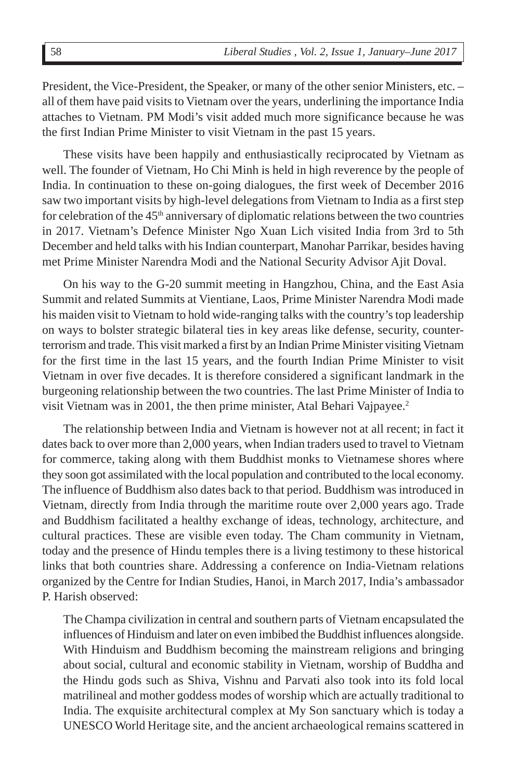President, the Vice-President, the Speaker, or many of the other senior Ministers, etc. – all of them have paid visits to Vietnam over the years, underlining the importance India attaches to Vietnam. PM Modi's visit added much more significance because he was the first Indian Prime Minister to visit Vietnam in the past 15 years.

These visits have been happily and enthusiastically reciprocated by Vietnam as well. The founder of Vietnam, Ho Chi Minh is held in high reverence by the people of India. In continuation to these on-going dialogues, the first week of December 2016 saw two important visits by high-level delegations from Vietnam to India as a first step for celebration of the  $45<sup>th</sup>$  anniversary of diplomatic relations between the two countries in 2017. Vietnam's Defence Minister Ngo Xuan Lich visited India from 3rd to 5th December and held talks with his Indian counterpart, Manohar Parrikar, besides having met Prime Minister Narendra Modi and the National Security Advisor Ajit Doval.

On his way to the G-20 summit meeting in Hangzhou, China, and the East Asia Summit and related Summits at Vientiane, Laos, Prime Minister Narendra Modi made his maiden visit to Vietnam to hold wide-ranging talks with the country's top leadership on ways to bolster strategic bilateral ties in key areas like defense, security, counterterrorism and trade. This visit marked a first by an Indian Prime Minister visiting Vietnam for the first time in the last 15 years, and the fourth Indian Prime Minister to visit Vietnam in over five decades. It is therefore considered a significant landmark in the burgeoning relationship between the two countries. The last Prime Minister of India to visit Vietnam was in 2001, the then prime minister, Atal Behari Vajpayee.<sup>2</sup>

The relationship between India and Vietnam is however not at all recent; in fact it dates back to over more than 2,000 years, when Indian traders used to travel to Vietnam for commerce, taking along with them Buddhist monks to Vietnamese shores where they soon got assimilated with the local population and contributed to the local economy. The influence of Buddhism also dates back to that period. Buddhism was introduced in Vietnam, directly from India through the maritime route over 2,000 years ago. Trade and Buddhism facilitated a healthy exchange of ideas, technology, architecture, and cultural practices. These are visible even today. The Cham community in Vietnam, today and the presence of Hindu temples there is a living testimony to these historical links that both countries share. Addressing a conference on India-Vietnam relations organized by the Centre for Indian Studies, Hanoi, in March 2017, India's ambassador P. Harish observed:

The Champa civilization in central and southern parts of Vietnam encapsulated the influences of Hinduism and later on even imbibed the Buddhist influences alongside. With Hinduism and Buddhism becoming the mainstream religions and bringing about social, cultural and economic stability in Vietnam, worship of Buddha and the Hindu gods such as Shiva, Vishnu and Parvati also took into its fold local matrilineal and mother goddess modes of worship which are actually traditional to India. The exquisite architectural complex at My Son sanctuary which is today a UNESCO World Heritage site, and the ancient archaeological remains scattered in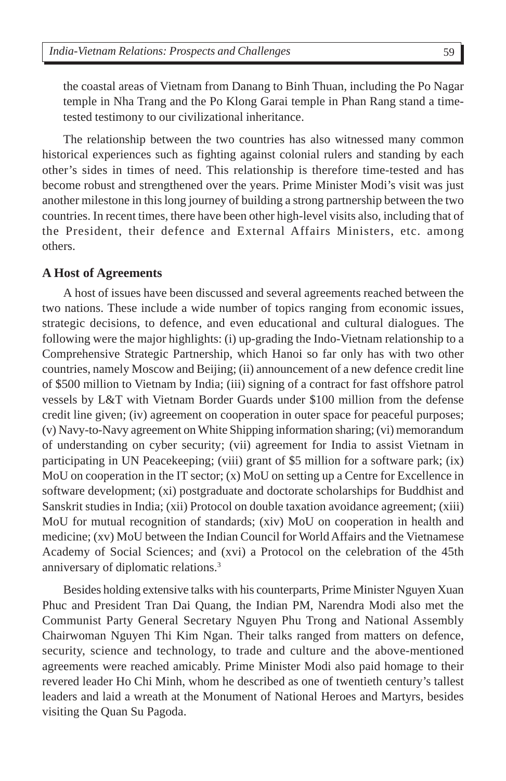the coastal areas of Vietnam from Danang to Binh Thuan, including the Po Nagar temple in Nha Trang and the Po Klong Garai temple in Phan Rang stand a timetested testimony to our civilizational inheritance.

The relationship between the two countries has also witnessed many common historical experiences such as fighting against colonial rulers and standing by each other's sides in times of need. This relationship is therefore time-tested and has become robust and strengthened over the years. Prime Minister Modi's visit was just another milestone in this long journey of building a strong partnership between the two countries. In recent times, there have been other high-level visits also, including that of the President, their defence and External Affairs Ministers, etc. among others.

#### **A Host of Agreements**

A host of issues have been discussed and several agreements reached between the two nations. These include a wide number of topics ranging from economic issues, strategic decisions, to defence, and even educational and cultural dialogues. The following were the major highlights: (i) up-grading the Indo-Vietnam relationship to a Comprehensive Strategic Partnership, which Hanoi so far only has with two other countries, namely Moscow and Beijing; (ii) announcement of a new defence credit line of \$500 million to Vietnam by India; (iii) signing of a contract for fast offshore patrol vessels by L&T with Vietnam Border Guards under \$100 million from the defense credit line given; (iv) agreement on cooperation in outer space for peaceful purposes; (v) Navy-to-Navy agreement on White Shipping information sharing; (vi) memorandum of understanding on cyber security; (vii) agreement for India to assist Vietnam in participating in UN Peacekeeping; (viii) grant of \$5 million for a software park; (ix) MoU on cooperation in the IT sector; (x) MoU on setting up a Centre for Excellence in software development; (xi) postgraduate and doctorate scholarships for Buddhist and Sanskrit studies in India; (xii) Protocol on double taxation avoidance agreement; (xiii) MoU for mutual recognition of standards; (xiv) MoU on cooperation in health and medicine; (xv) MoU between the Indian Council for World Affairs and the Vietnamese Academy of Social Sciences; and (xvi) a Protocol on the celebration of the 45th anniversary of diplomatic relations.3

Besides holding extensive talks with his counterparts, Prime Minister Nguyen Xuan Phuc and President Tran Dai Quang, the Indian PM, Narendra Modi also met the Communist Party General Secretary Nguyen Phu Trong and National Assembly Chairwoman Nguyen Thi Kim Ngan. Their talks ranged from matters on defence, security, science and technology, to trade and culture and the above-mentioned agreements were reached amicably. Prime Minister Modi also paid homage to their revered leader Ho Chi Minh, whom he described as one of twentieth century's tallest leaders and laid a wreath at the Monument of National Heroes and Martyrs, besides visiting the Quan Su Pagoda.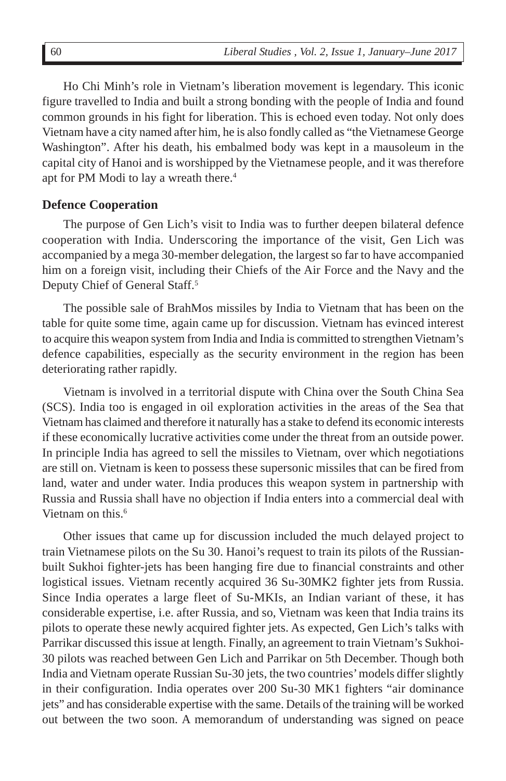Ho Chi Minh's role in Vietnam's liberation movement is legendary. This iconic figure travelled to India and built a strong bonding with the people of India and found common grounds in his fight for liberation. This is echoed even today. Not only does Vietnam have a city named after him, he is also fondly called as "the Vietnamese George Washington". After his death, his embalmed body was kept in a mausoleum in the capital city of Hanoi and is worshipped by the Vietnamese people, and it was therefore apt for PM Modi to lay a wreath there.<sup>4</sup>

#### **Defence Cooperation**

The purpose of Gen Lich's visit to India was to further deepen bilateral defence cooperation with India. Underscoring the importance of the visit, Gen Lich was accompanied by a mega 30-member delegation, the largest so far to have accompanied him on a foreign visit, including their Chiefs of the Air Force and the Navy and the Deputy Chief of General Staff.<sup>5</sup>

The possible sale of BrahMos missiles by India to Vietnam that has been on the table for quite some time, again came up for discussion. Vietnam has evinced interest to acquire this weapon system from India and India is committed to strengthen Vietnam's defence capabilities, especially as the security environment in the region has been deteriorating rather rapidly.

Vietnam is involved in a territorial dispute with China over the South China Sea (SCS). India too is engaged in oil exploration activities in the areas of the Sea that Vietnam has claimed and therefore it naturally has a stake to defend its economic interests if these economically lucrative activities come under the threat from an outside power. In principle India has agreed to sell the missiles to Vietnam, over which negotiations are still on. Vietnam is keen to possess these supersonic missiles that can be fired from land, water and under water. India produces this weapon system in partnership with Russia and Russia shall have no objection if India enters into a commercial deal with Vietnam on this.<sup>6</sup>

Other issues that came up for discussion included the much delayed project to train Vietnamese pilots on the Su 30. Hanoi's request to train its pilots of the Russianbuilt Sukhoi fighter-jets has been hanging fire due to financial constraints and other logistical issues. Vietnam recently acquired 36 Su-30MK2 fighter jets from Russia. Since India operates a large fleet of Su-MKIs, an Indian variant of these, it has considerable expertise, i.e. after Russia, and so, Vietnam was keen that India trains its pilots to operate these newly acquired fighter jets. As expected, Gen Lich's talks with Parrikar discussed this issue at length. Finally, an agreement to train Vietnam's Sukhoi-30 pilots was reached between Gen Lich and Parrikar on 5th December. Though both India and Vietnam operate Russian Su-30 jets, the two countries' models differ slightly in their configuration. India operates over 200 Su-30 MK1 fighters "air dominance jets" and has considerable expertise with the same. Details of the training will be worked out between the two soon. A memorandum of understanding was signed on peace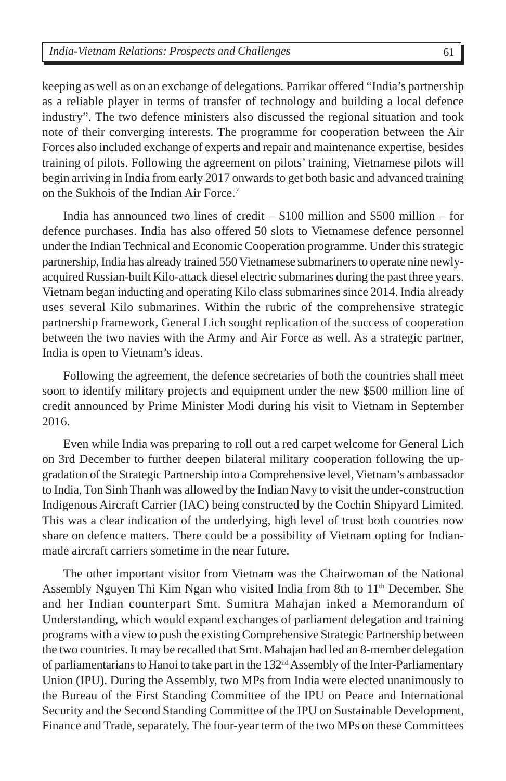keeping as well as on an exchange of delegations. Parrikar offered "India's partnership as a reliable player in terms of transfer of technology and building a local defence industry". The two defence ministers also discussed the regional situation and took note of their converging interests. The programme for cooperation between the Air Forces also included exchange of experts and repair and maintenance expertise, besides training of pilots. Following the agreement on pilots' training, Vietnamese pilots will begin arriving in India from early 2017 onwards to get both basic and advanced training on the Sukhois of the Indian Air Force.7

India has announced two lines of credit – \$100 million and \$500 million – for defence purchases. India has also offered 50 slots to Vietnamese defence personnel under the Indian Technical and Economic Cooperation programme. Under this strategic partnership, India has already trained 550 Vietnamese submariners to operate nine newlyacquired Russian-built Kilo-attack diesel electric submarines during the past three years. Vietnam began inducting and operating Kilo class submarines since 2014. India already uses several Kilo submarines. Within the rubric of the comprehensive strategic partnership framework, General Lich sought replication of the success of cooperation between the two navies with the Army and Air Force as well. As a strategic partner, India is open to Vietnam's ideas.

Following the agreement, the defence secretaries of both the countries shall meet soon to identify military projects and equipment under the new \$500 million line of credit announced by Prime Minister Modi during his visit to Vietnam in September 2016.

Even while India was preparing to roll out a red carpet welcome for General Lich on 3rd December to further deepen bilateral military cooperation following the upgradation of the Strategic Partnership into a Comprehensive level, Vietnam's ambassador to India, Ton Sinh Thanh was allowed by the Indian Navy to visit the under-construction Indigenous Aircraft Carrier (IAC) being constructed by the Cochin Shipyard Limited. This was a clear indication of the underlying, high level of trust both countries now share on defence matters. There could be a possibility of Vietnam opting for Indianmade aircraft carriers sometime in the near future.

The other important visitor from Vietnam was the Chairwoman of the National Assembly Nguyen Thi Kim Ngan who visited India from 8th to 11<sup>th</sup> December. She and her Indian counterpart Smt. Sumitra Mahajan inked a Memorandum of Understanding, which would expand exchanges of parliament delegation and training programs with a view to push the existing Comprehensive Strategic Partnership between the two countries. It may be recalled that Smt. Mahajan had led an 8-member delegation of parliamentarians to Hanoi to take part in the 132<sup>nd</sup> Assembly of the Inter-Parliamentary Union (IPU). During the Assembly, two MPs from India were elected unanimously to the Bureau of the First Standing Committee of the IPU on Peace and International Security and the Second Standing Committee of the IPU on Sustainable Development, Finance and Trade, separately. The four-year term of the two MPs on these Committees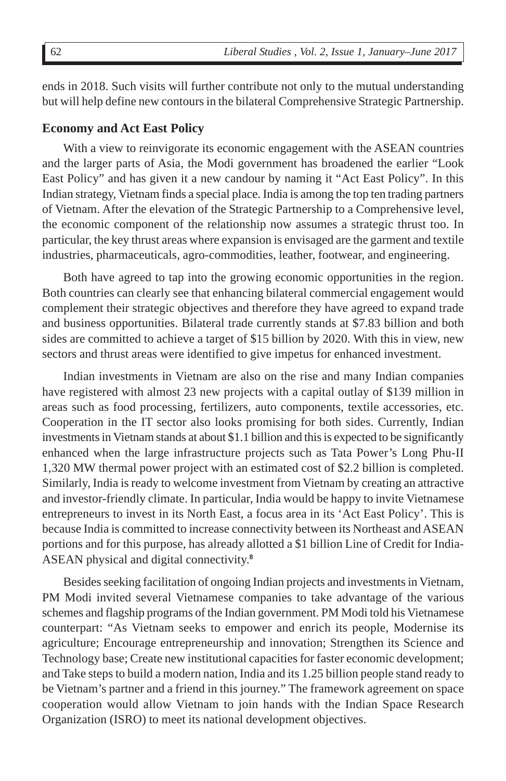ends in 2018. Such visits will further contribute not only to the mutual understanding but will help define new contours in the bilateral Comprehensive Strategic Partnership.

#### **Economy and Act East Policy**

With a view to reinvigorate its economic engagement with the ASEAN countries and the larger parts of Asia, the Modi government has broadened the earlier "Look East Policy" and has given it a new candour by naming it "Act East Policy". In this Indian strategy, Vietnam finds a special place. India is among the top ten trading partners of Vietnam. After the elevation of the Strategic Partnership to a Comprehensive level, the economic component of the relationship now assumes a strategic thrust too. In particular, the key thrust areas where expansion is envisaged are the garment and textile industries, pharmaceuticals, agro-commodities, leather, footwear, and engineering.

Both have agreed to tap into the growing economic opportunities in the region. Both countries can clearly see that enhancing bilateral commercial engagement would complement their strategic objectives and therefore they have agreed to expand trade and business opportunities. Bilateral trade currently stands at \$7.83 billion and both sides are committed to achieve a target of \$15 billion by 2020. With this in view, new sectors and thrust areas were identified to give impetus for enhanced investment.

Indian investments in Vietnam are also on the rise and many Indian companies have registered with almost 23 new projects with a capital outlay of \$139 million in areas such as food processing, fertilizers, auto components, textile accessories, etc. Cooperation in the IT sector also looks promising for both sides. Currently, Indian investments in Vietnam stands at about \$1.1 billion and this is expected to be significantly enhanced when the large infrastructure projects such as Tata Power's Long Phu-II 1,320 MW thermal power project with an estimated cost of \$2.2 billion is completed. Similarly, India is ready to welcome investment from Vietnam by creating an attractive and investor-friendly climate. In particular, India would be happy to invite Vietnamese entrepreneurs to invest in its North East, a focus area in its 'Act East Policy'. This is because India is committed to increase connectivity between its Northeast and ASEAN portions and for this purpose, has already allotted a \$1 billion Line of Credit for India-ASEAN physical and digital connectivity.**<sup>8</sup>**

Besides seeking facilitation of ongoing Indian projects and investments in Vietnam, PM Modi invited several Vietnamese companies to take advantage of the various schemes and flagship programs of the Indian government. PM Modi told his Vietnamese counterpart: "As Vietnam seeks to empower and enrich its people, Modernise its agriculture; Encourage entrepreneurship and innovation; Strengthen its Science and Technology base; Create new institutional capacities for faster economic development; and Take steps to build a modern nation, India and its 1.25 billion people stand ready to be Vietnam's partner and a friend in this journey." The framework agreement on space cooperation would allow Vietnam to join hands with the Indian Space Research Organization (ISRO) to meet its national development objectives.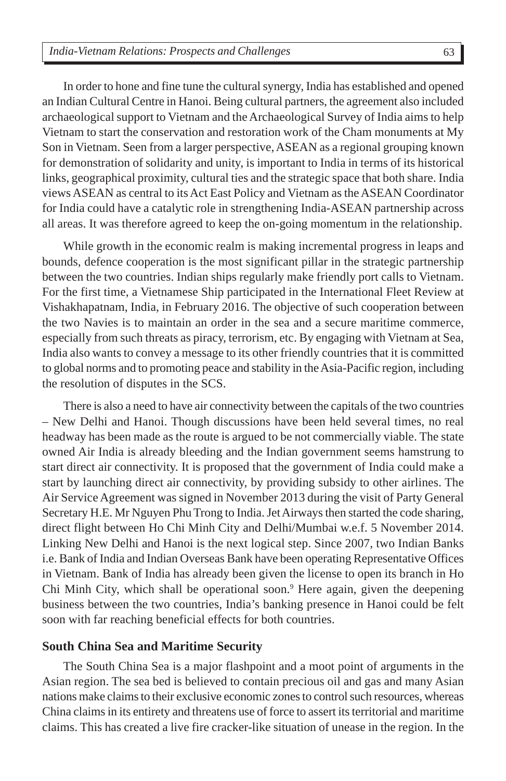In order to hone and fine tune the cultural synergy, India has established and opened an Indian Cultural Centre in Hanoi. Being cultural partners, the agreement also included archaeological support to Vietnam and the Archaeological Survey of India aims to help Vietnam to start the conservation and restoration work of the Cham monuments at My Son in Vietnam. Seen from a larger perspective, ASEAN as a regional grouping known for demonstration of solidarity and unity, is important to India in terms of its historical links, geographical proximity, cultural ties and the strategic space that both share. India views ASEAN as central to its Act East Policy and Vietnam as the ASEAN Coordinator for India could have a catalytic role in strengthening India-ASEAN partnership across all areas. It was therefore agreed to keep the on-going momentum in the relationship.

While growth in the economic realm is making incremental progress in leaps and bounds, defence cooperation is the most significant pillar in the strategic partnership between the two countries. Indian ships regularly make friendly port calls to Vietnam. For the first time, a Vietnamese Ship participated in the International Fleet Review at Vishakhapatnam, India, in February 2016. The objective of such cooperation between the two Navies is to maintain an order in the sea and a secure maritime commerce, especially from such threats as piracy, terrorism, etc. By engaging with Vietnam at Sea, India also wants to convey a message to its other friendly countries that it is committed to global norms and to promoting peace and stability in the Asia-Pacific region, including the resolution of disputes in the SCS.

There is also a need to have air connectivity between the capitals of the two countries – New Delhi and Hanoi. Though discussions have been held several times, no real headway has been made as the route is argued to be not commercially viable. The state owned Air India is already bleeding and the Indian government seems hamstrung to start direct air connectivity. It is proposed that the government of India could make a start by launching direct air connectivity, by providing subsidy to other airlines. The Air Service Agreement was signed in November 2013 during the visit of Party General Secretary H.E. Mr Nguyen Phu Trong to India. Jet Airways then started the code sharing, direct flight between Ho Chi Minh City and Delhi/Mumbai w.e.f. 5 November 2014. Linking New Delhi and Hanoi is the next logical step. Since 2007, two Indian Banks i.e. Bank of India and Indian Overseas Bank have been operating Representative Offices in Vietnam. Bank of India has already been given the license to open its branch in Ho Chi Minh City, which shall be operational soon.<sup>9</sup> Here again, given the deepening business between the two countries, India's banking presence in Hanoi could be felt soon with far reaching beneficial effects for both countries.

### **South China Sea and Maritime Security**

The South China Sea is a major flashpoint and a moot point of arguments in the Asian region. The sea bed is believed to contain precious oil and gas and many Asian nations make claims to their exclusive economic zones to control such resources, whereas China claims in its entirety and threatens use of force to assert its territorial and maritime claims. This has created a live fire cracker-like situation of unease in the region. In the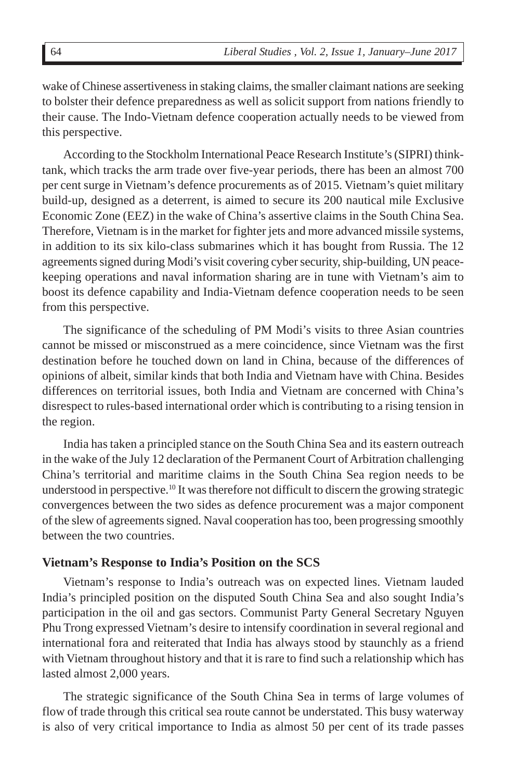wake of Chinese assertiveness in staking claims, the smaller claimant nations are seeking to bolster their defence preparedness as well as solicit support from nations friendly to their cause. The Indo-Vietnam defence cooperation actually needs to be viewed from this perspective.

According to the Stockholm International Peace Research Institute's (SIPRI) thinktank, which tracks the arm trade over five-year periods, there has been an almost 700 per cent surge in Vietnam's defence procurements as of 2015. Vietnam's quiet military build-up, designed as a deterrent, is aimed to secure its 200 nautical mile Exclusive Economic Zone (EEZ) in the wake of China's assertive claims in the South China Sea. Therefore, Vietnam is in the market for fighter jets and more advanced missile systems, in addition to its six kilo-class submarines which it has bought from Russia. The 12 agreements signed during Modi's visit covering cyber security, ship-building, UN peacekeeping operations and naval information sharing are in tune with Vietnam's aim to boost its defence capability and India-Vietnam defence cooperation needs to be seen from this perspective.

The significance of the scheduling of PM Modi's visits to three Asian countries cannot be missed or misconstrued as a mere coincidence, since Vietnam was the first destination before he touched down on land in China, because of the differences of opinions of albeit, similar kinds that both India and Vietnam have with China. Besides differences on territorial issues, both India and Vietnam are concerned with China's disrespect to rules-based international order which is contributing to a rising tension in the region.

India has taken a principled stance on the South China Sea and its eastern outreach in the wake of the July 12 declaration of the Permanent Court of Arbitration challenging China's territorial and maritime claims in the South China Sea region needs to be understood in perspective.10 It was therefore not difficult to discern the growing strategic convergences between the two sides as defence procurement was a major component of the slew of agreements signed. Naval cooperation has too, been progressing smoothly between the two countries.

### **Vietnam's Response to India's Position on the SCS**

Vietnam's response to India's outreach was on expected lines. Vietnam lauded India's principled position on the disputed South China Sea and also sought India's participation in the oil and gas sectors. Communist Party General Secretary Nguyen Phu Trong expressed Vietnam's desire to intensify coordination in several regional and international fora and reiterated that India has always stood by staunchly as a friend with Vietnam throughout history and that it is rare to find such a relationship which has lasted almost 2,000 years.

The strategic significance of the South China Sea in terms of large volumes of flow of trade through this critical sea route cannot be understated. This busy waterway is also of very critical importance to India as almost 50 per cent of its trade passes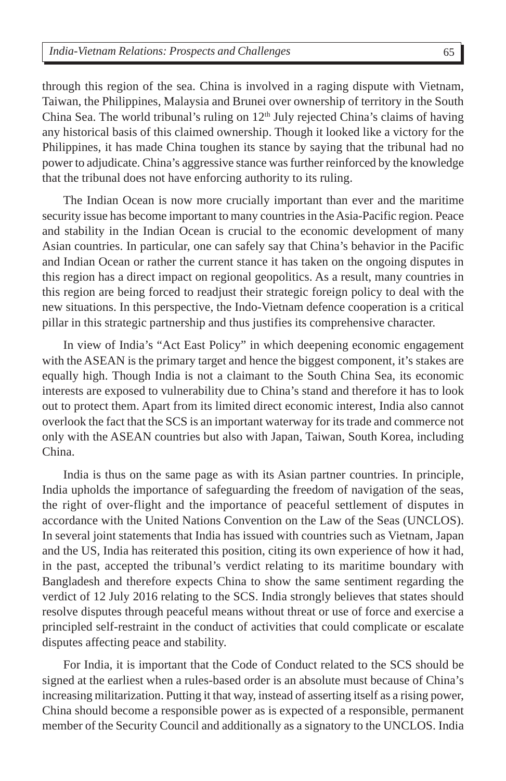through this region of the sea. China is involved in a raging dispute with Vietnam, Taiwan, the Philippines, Malaysia and Brunei over ownership of territory in the South China Sea. The world tribunal's ruling on  $12<sup>th</sup>$  July rejected China's claims of having any historical basis of this claimed ownership. Though it looked like a victory for the Philippines, it has made China toughen its stance by saying that the tribunal had no power to adjudicate. China's aggressive stance was further reinforced by the knowledge that the tribunal does not have enforcing authority to its ruling.

The Indian Ocean is now more crucially important than ever and the maritime security issue has become important to many countries in the Asia-Pacific region. Peace and stability in the Indian Ocean is crucial to the economic development of many Asian countries. In particular, one can safely say that China's behavior in the Pacific and Indian Ocean or rather the current stance it has taken on the ongoing disputes in this region has a direct impact on regional geopolitics. As a result, many countries in this region are being forced to readjust their strategic foreign policy to deal with the new situations. In this perspective, the Indo-Vietnam defence cooperation is a critical pillar in this strategic partnership and thus justifies its comprehensive character.

In view of India's "Act East Policy" in which deepening economic engagement with the ASEAN is the primary target and hence the biggest component, it's stakes are equally high. Though India is not a claimant to the South China Sea, its economic interests are exposed to vulnerability due to China's stand and therefore it has to look out to protect them. Apart from its limited direct economic interest, India also cannot overlook the fact that the SCS is an important waterway for its trade and commerce not only with the ASEAN countries but also with Japan, Taiwan, South Korea, including China.

India is thus on the same page as with its Asian partner countries. In principle, India upholds the importance of safeguarding the freedom of navigation of the seas, the right of over-flight and the importance of peaceful settlement of disputes in accordance with the United Nations Convention on the Law of the Seas (UNCLOS). In several joint statements that India has issued with countries such as Vietnam, Japan and the US, India has reiterated this position, citing its own experience of how it had, in the past, accepted the tribunal's verdict relating to its maritime boundary with Bangladesh and therefore expects China to show the same sentiment regarding the verdict of 12 July 2016 relating to the SCS. India strongly believes that states should resolve disputes through peaceful means without threat or use of force and exercise a principled self-restraint in the conduct of activities that could complicate or escalate disputes affecting peace and stability.

For India, it is important that the Code of Conduct related to the SCS should be signed at the earliest when a rules-based order is an absolute must because of China's increasing militarization. Putting it that way, instead of asserting itself as a rising power, China should become a responsible power as is expected of a responsible, permanent member of the Security Council and additionally as a signatory to the UNCLOS. India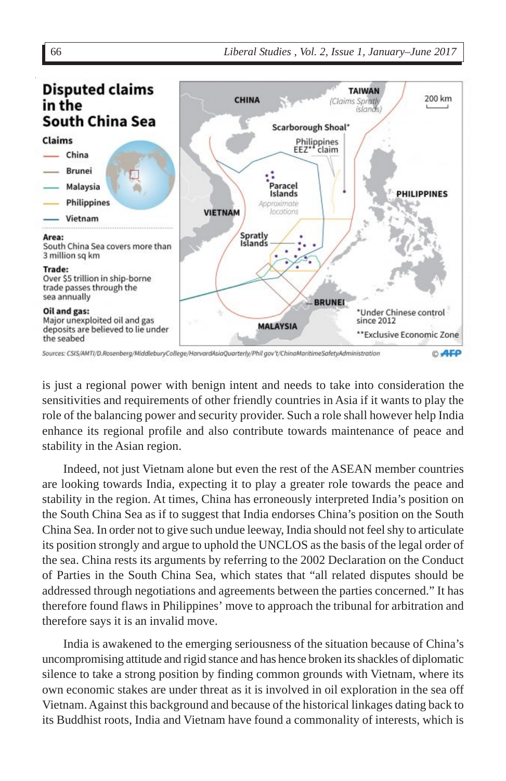

Sources: CSIS/AMTI/D.Rosenberg/MiddleburyCollege/HarvardAsiaQuarterly/Phil gov't/ChinaMaritimeSafetyAdministration © AFP

is just a regional power with benign intent and needs to take into consideration the sensitivities and requirements of other friendly countries in Asia if it wants to play the role of the balancing power and security provider. Such a role shall however help India enhance its regional profile and also contribute towards maintenance of peace and stability in the Asian region.

Indeed, not just Vietnam alone but even the rest of the ASEAN member countries are looking towards India, expecting it to play a greater role towards the peace and stability in the region. At times, China has erroneously interpreted India's position on the South China Sea as if to suggest that India endorses China's position on the South China Sea. In order not to give such undue leeway, India should not feel shy to articulate its position strongly and argue to uphold the UNCLOS as the basis of the legal order of the sea. China rests its arguments by referring to the 2002 Declaration on the Conduct of Parties in the South China Sea, which states that "all related disputes should be addressed through negotiations and agreements between the parties concerned." It has therefore found flaws in Philippines' move to approach the tribunal for arbitration and therefore says it is an invalid move.

India is awakened to the emerging seriousness of the situation because of China's uncompromising attitude and rigid stance and has hence broken its shackles of diplomatic silence to take a strong position by finding common grounds with Vietnam, where its own economic stakes are under threat as it is involved in oil exploration in the sea off Vietnam. Against this background and because of the historical linkages dating back to its Buddhist roots, India and Vietnam have found a commonality of interests, which is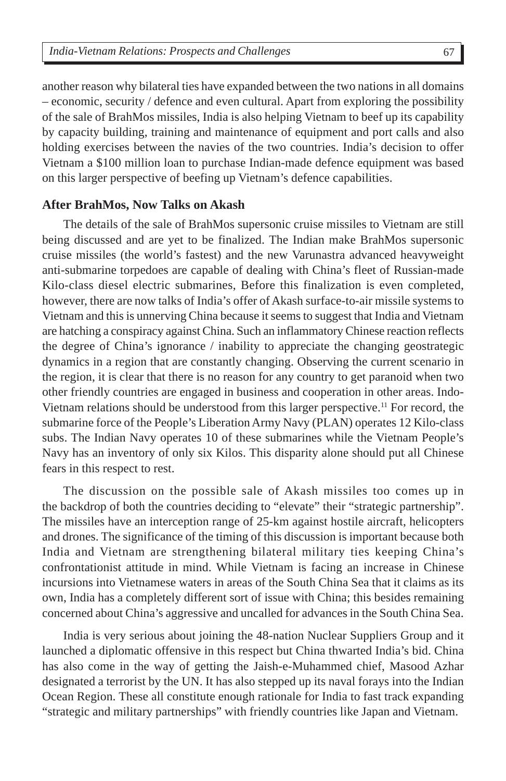another reason why bilateral ties have expanded between the two nations in all domains – economic, security / defence and even cultural. Apart from exploring the possibility of the sale of BrahMos missiles, India is also helping Vietnam to beef up its capability by capacity building, training and maintenance of equipment and port calls and also holding exercises between the navies of the two countries. India's decision to offer Vietnam a \$100 million loan to purchase Indian-made defence equipment was based on this larger perspective of beefing up Vietnam's defence capabilities.

### **After BrahMos, Now Talks on Akash**

The details of the sale of BrahMos supersonic cruise missiles to Vietnam are still being discussed and are yet to be finalized. The Indian make BrahMos supersonic cruise missiles (the world's fastest) and the new Varunastra advanced heavyweight anti-submarine torpedoes are capable of dealing with China's fleet of Russian-made Kilo-class diesel electric submarines, Before this finalization is even completed, however, there are now talks of India's offer of Akash surface-to-air missile systems to Vietnam and this is unnerving China because it seems to suggest that India and Vietnam are hatching a conspiracy against China. Such an inflammatory Chinese reaction reflects the degree of China's ignorance / inability to appreciate the changing geostrategic dynamics in a region that are constantly changing. Observing the current scenario in the region, it is clear that there is no reason for any country to get paranoid when two other friendly countries are engaged in business and cooperation in other areas. Indo-Vietnam relations should be understood from this larger perspective.11 For record, the submarine force of the People's Liberation Army Navy (PLAN) operates 12 Kilo-class subs. The Indian Navy operates 10 of these submarines while the Vietnam People's Navy has an inventory of only six Kilos. This disparity alone should put all Chinese fears in this respect to rest.

The discussion on the possible sale of Akash missiles too comes up in the backdrop of both the countries deciding to "elevate" their "strategic partnership". The missiles have an interception range of 25-km against hostile aircraft, helicopters and drones. The significance of the timing of this discussion is important because both India and Vietnam are strengthening bilateral military ties keeping China's confrontationist attitude in mind. While Vietnam is facing an increase in Chinese incursions into Vietnamese waters in areas of the South China Sea that it claims as its own, India has a completely different sort of issue with China; this besides remaining concerned about China's aggressive and uncalled for advances in the South China Sea.

India is very serious about joining the 48-nation Nuclear Suppliers Group and it launched a diplomatic offensive in this respect but China thwarted India's bid. China has also come in the way of getting the Jaish-e-Muhammed chief, Masood Azhar designated a terrorist by the UN. It has also stepped up its naval forays into the Indian Ocean Region. These all constitute enough rationale for India to fast track expanding "strategic and military partnerships" with friendly countries like Japan and Vietnam.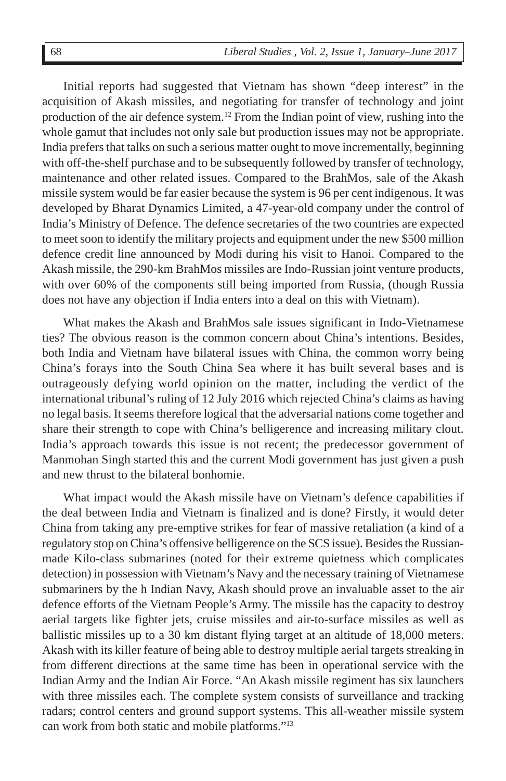Initial reports had suggested that Vietnam has shown "deep interest" in the acquisition of Akash missiles, and negotiating for transfer of technology and joint production of the air defence system.12 From the Indian point of view, rushing into the whole gamut that includes not only sale but production issues may not be appropriate. India prefers that talks on such a serious matter ought to move incrementally, beginning with off-the-shelf purchase and to be subsequently followed by transfer of technology, maintenance and other related issues. Compared to the BrahMos, sale of the Akash missile system would be far easier because the system is 96 per cent indigenous. It was developed by Bharat Dynamics Limited, a 47-year-old company under the control of India's Ministry of Defence. The defence secretaries of the two countries are expected to meet soon to identify the military projects and equipment under the new \$500 million defence credit line announced by Modi during his visit to Hanoi. Compared to the Akash missile, the 290-km BrahMos missiles are Indo-Russian joint venture products, with over 60% of the components still being imported from Russia, (though Russia does not have any objection if India enters into a deal on this with Vietnam).

What makes the Akash and BrahMos sale issues significant in Indo-Vietnamese ties? The obvious reason is the common concern about China's intentions. Besides, both India and Vietnam have bilateral issues with China, the common worry being China's forays into the South China Sea where it has built several bases and is outrageously defying world opinion on the matter, including the verdict of the international tribunal's ruling of 12 July 2016 which rejected China's claims as having no legal basis. It seems therefore logical that the adversarial nations come together and share their strength to cope with China's belligerence and increasing military clout. India's approach towards this issue is not recent; the predecessor government of Manmohan Singh started this and the current Modi government has just given a push and new thrust to the bilateral bonhomie.

What impact would the Akash missile have on Vietnam's defence capabilities if the deal between India and Vietnam is finalized and is done? Firstly, it would deter China from taking any pre-emptive strikes for fear of massive retaliation (a kind of a regulatory stop on China's offensive belligerence on the SCS issue). Besides the Russianmade Kilo-class submarines (noted for their extreme quietness which complicates detection) in possession with Vietnam's Navy and the necessary training of Vietnamese submariners by the h Indian Navy, Akash should prove an invaluable asset to the air defence efforts of the Vietnam People's Army. The missile has the capacity to destroy aerial targets like fighter jets, cruise missiles and air-to-surface missiles as well as ballistic missiles up to a 30 km distant flying target at an altitude of 18,000 meters. Akash with its killer feature of being able to destroy multiple aerial targets streaking in from different directions at the same time has been in operational service with the Indian Army and the Indian Air Force. "An Akash missile regiment has six launchers with three missiles each. The complete system consists of surveillance and tracking radars; control centers and ground support systems. This all-weather missile system can work from both static and mobile platforms."13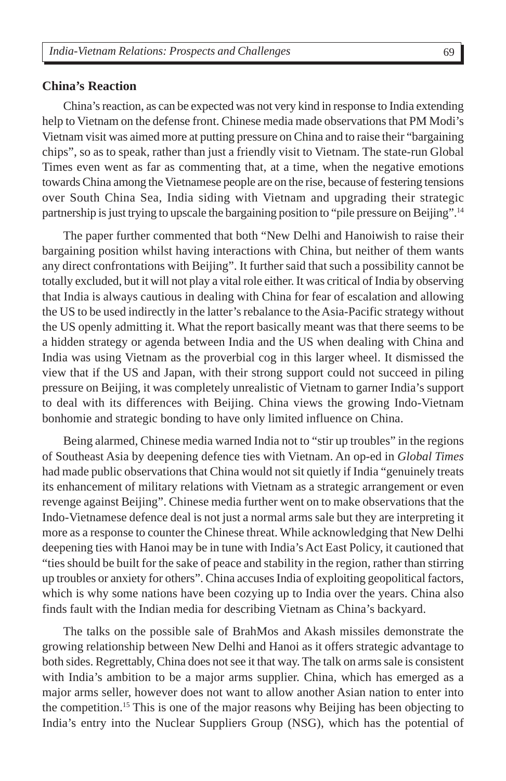#### **China's Reaction**

China's reaction, as can be expected was not very kind in response to India extending help to Vietnam on the defense front. Chinese media made observations that PM Modi's Vietnam visit was aimed more at putting pressure on China and to raise their "bargaining chips", so as to speak, rather than just a friendly visit to Vietnam. The state-run Global Times even went as far as commenting that, at a time, when the negative emotions towards China among the Vietnamese people are on the rise, because of festering tensions over South China Sea, India siding with Vietnam and upgrading their strategic partnership is just trying to upscale the bargaining position to "pile pressure on Beijing".14

The paper further commented that both "New Delhi and Hanoiwish to raise their bargaining position whilst having interactions with China, but neither of them wants any direct confrontations with Beijing". It further said that such a possibility cannot be totally excluded, but it will not play a vital role either. It was critical of India by observing that India is always cautious in dealing with China for fear of escalation and allowing the US to be used indirectly in the latter's rebalance to the Asia-Pacific strategy without the US openly admitting it. What the report basically meant was that there seems to be a hidden strategy or agenda between India and the US when dealing with China and India was using Vietnam as the proverbial cog in this larger wheel. It dismissed the view that if the US and Japan, with their strong support could not succeed in piling pressure on Beijing, it was completely unrealistic of Vietnam to garner India's support to deal with its differences with Beijing. China views the growing Indo-Vietnam bonhomie and strategic bonding to have only limited influence on China.

Being alarmed, Chinese media warned India not to "stir up troubles" in the regions of Southeast Asia by deepening defence ties with Vietnam. An op-ed in *Global Times* had made public observations that China would not sit quietly if India "genuinely treats its enhancement of military relations with Vietnam as a strategic arrangement or even revenge against Beijing". Chinese media further went on to make observations that the Indo-Vietnamese defence deal is not just a normal arms sale but they are interpreting it more as a response to counter the Chinese threat. While acknowledging that New Delhi deepening ties with Hanoi may be in tune with India's Act East Policy, it cautioned that "ties should be built for the sake of peace and stability in the region, rather than stirring up troubles or anxiety for others". China accuses India of exploiting geopolitical factors, which is why some nations have been cozying up to India over the years. China also finds fault with the Indian media for describing Vietnam as China's backyard.

The talks on the possible sale of BrahMos and Akash missiles demonstrate the growing relationship between New Delhi and Hanoi as it offers strategic advantage to both sides. Regrettably, China does not see it that way. The talk on arms sale is consistent with India's ambition to be a major arms supplier. China, which has emerged as a major arms seller, however does not want to allow another Asian nation to enter into the competition.15 This is one of the major reasons why Beijing has been objecting to India's entry into the Nuclear Suppliers Group (NSG), which has the potential of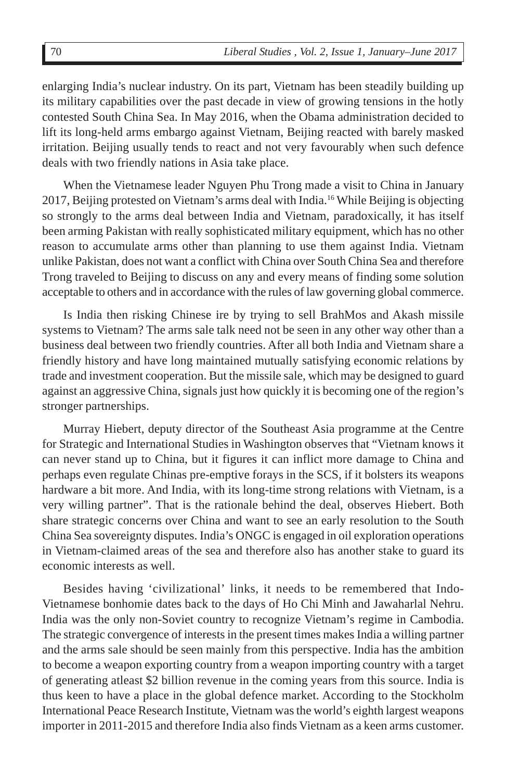enlarging India's nuclear industry. On its part, Vietnam has been steadily building up its military capabilities over the past decade in view of growing tensions in the hotly contested South China Sea. In May 2016, when the Obama administration decided to lift its long-held arms embargo against Vietnam, Beijing reacted with barely masked irritation. Beijing usually tends to react and not very favourably when such defence deals with two friendly nations in Asia take place.

When the Vietnamese leader Nguyen Phu Trong made a visit to China in January 2017, Beijing protested on Vietnam's arms deal with India.16 While Beijing is objecting so strongly to the arms deal between India and Vietnam, paradoxically, it has itself been arming Pakistan with really sophisticated military equipment, which has no other reason to accumulate arms other than planning to use them against India. Vietnam unlike Pakistan, does not want a conflict with China over South China Sea and therefore Trong traveled to Beijing to discuss on any and every means of finding some solution acceptable to others and in accordance with the rules of law governing global commerce.

Is India then risking Chinese ire by trying to sell BrahMos and Akash missile systems to Vietnam? The arms sale talk need not be seen in any other way other than a business deal between two friendly countries. After all both India and Vietnam share a friendly history and have long maintained mutually satisfying economic relations by trade and investment cooperation. But the missile sale, which may be designed to guard against an aggressive China, signals just how quickly it is becoming one of the region's stronger partnerships.

Murray Hiebert, deputy director of the Southeast Asia programme at the Centre for Strategic and International Studies in Washington observes that "Vietnam knows it can never stand up to China, but it figures it can inflict more damage to China and perhaps even regulate Chinas pre-emptive forays in the SCS, if it bolsters its weapons hardware a bit more. And India, with its long-time strong relations with Vietnam, is a very willing partner". That is the rationale behind the deal, observes Hiebert. Both share strategic concerns over China and want to see an early resolution to the South China Sea sovereignty disputes. India's ONGC is engaged in oil exploration operations in Vietnam-claimed areas of the sea and therefore also has another stake to guard its economic interests as well.

Besides having 'civilizational' links, it needs to be remembered that Indo-Vietnamese bonhomie dates back to the days of Ho Chi Minh and Jawaharlal Nehru. India was the only non-Soviet country to recognize Vietnam's regime in Cambodia. The strategic convergence of interests in the present times makes India a willing partner and the arms sale should be seen mainly from this perspective. India has the ambition to become a weapon exporting country from a weapon importing country with a target of generating atleast \$2 billion revenue in the coming years from this source. India is thus keen to have a place in the global defence market. According to the Stockholm International Peace Research Institute, Vietnam was the world's eighth largest weapons importer in 2011-2015 and therefore India also finds Vietnam as a keen arms customer.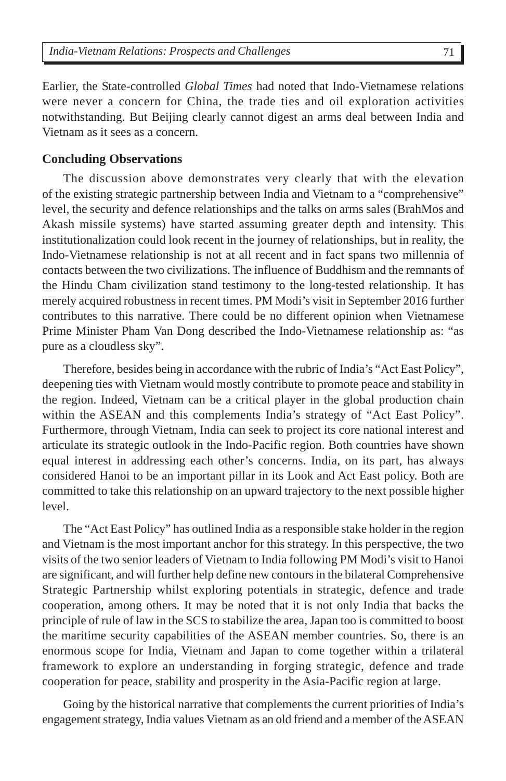Earlier, the State-controlled *Global Times* had noted that Indo-Vietnamese relations were never a concern for China, the trade ties and oil exploration activities notwithstanding. But Beijing clearly cannot digest an arms deal between India and Vietnam as it sees as a concern.

#### **Concluding Observations**

The discussion above demonstrates very clearly that with the elevation of the existing strategic partnership between India and Vietnam to a "comprehensive" level, the security and defence relationships and the talks on arms sales (BrahMos and Akash missile systems) have started assuming greater depth and intensity. This institutionalization could look recent in the journey of relationships, but in reality, the Indo-Vietnamese relationship is not at all recent and in fact spans two millennia of contacts between the two civilizations. The influence of Buddhism and the remnants of the Hindu Cham civilization stand testimony to the long-tested relationship. It has merely acquired robustness in recent times. PM Modi's visit in September 2016 further contributes to this narrative. There could be no different opinion when Vietnamese Prime Minister Pham Van Dong described the Indo-Vietnamese relationship as: "as pure as a cloudless sky".

Therefore, besides being in accordance with the rubric of India's "Act East Policy", deepening ties with Vietnam would mostly contribute to promote peace and stability in the region. Indeed, Vietnam can be a critical player in the global production chain within the ASEAN and this complements India's strategy of "Act East Policy". Furthermore, through Vietnam, India can seek to project its core national interest and articulate its strategic outlook in the Indo-Pacific region. Both countries have shown equal interest in addressing each other's concerns. India, on its part, has always considered Hanoi to be an important pillar in its Look and Act East policy. Both are committed to take this relationship on an upward trajectory to the next possible higher level.

The "Act East Policy" has outlined India as a responsible stake holder in the region and Vietnam is the most important anchor for this strategy. In this perspective, the two visits of the two senior leaders of Vietnam to India following PM Modi's visit to Hanoi are significant, and will further help define new contours in the bilateral Comprehensive Strategic Partnership whilst exploring potentials in strategic, defence and trade cooperation, among others. It may be noted that it is not only India that backs the principle of rule of law in the SCS to stabilize the area, Japan too is committed to boost the maritime security capabilities of the ASEAN member countries. So, there is an enormous scope for India, Vietnam and Japan to come together within a trilateral framework to explore an understanding in forging strategic, defence and trade cooperation for peace, stability and prosperity in the Asia-Pacific region at large.

Going by the historical narrative that complements the current priorities of India's engagement strategy, India values Vietnam as an old friend and a member of the ASEAN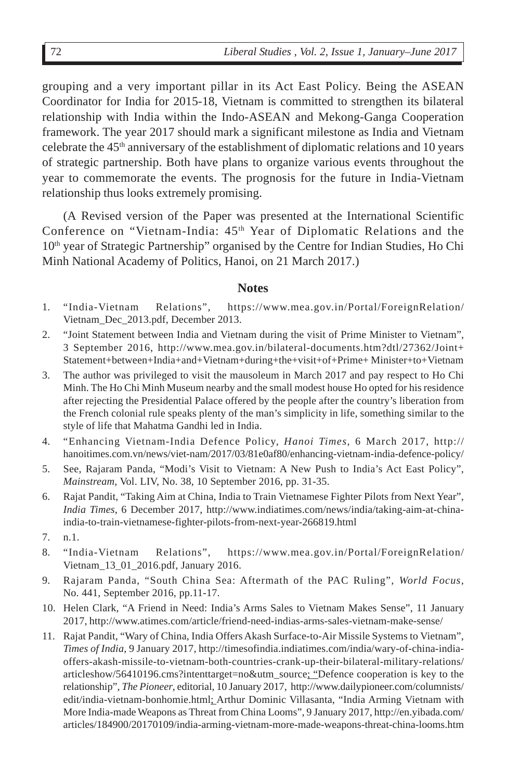grouping and a very important pillar in its Act East Policy. Being the ASEAN Coordinator for India for 2015-18, Vietnam is committed to strengthen its bilateral relationship with India within the Indo-ASEAN and Mekong-Ganga Cooperation framework. The year 2017 should mark a significant milestone as India and Vietnam celebrate the  $45<sup>th</sup>$  anniversary of the establishment of diplomatic relations and 10 years of strategic partnership. Both have plans to organize various events throughout the year to commemorate the events. The prognosis for the future in India-Vietnam relationship thus looks extremely promising.

(A Revised version of the Paper was presented at the International Scientific Conference on "Vietnam-India:  $45<sup>th</sup>$  Year of Diplomatic Relations and the  $10<sup>th</sup>$  year of Strategic Partnership" organised by the Centre for Indian Studies, Ho Chi Minh National Academy of Politics, Hanoi, on 21 March 2017.)

#### **Notes**

- 1. "India-Vietnam Relations", https://www.mea.gov.in/Portal/ForeignRelation/ Vietnam\_Dec\_2013.pdf, December 2013.
- 2. "Joint Statement between India and Vietnam during the visit of Prime Minister to Vietnam", 3 September 2016, http://www.mea.gov.in/bilateral-documents.htm?dtl/27362/Joint+ Statement+between+India+and+Vietnam+during+the+visit+of+Prime+ Minister+to+Vietnam
- 3. The author was privileged to visit the mausoleum in March 2017 and pay respect to Ho Chi Minh. The Ho Chi Minh Museum nearby and the small modest house Ho opted for his residence after rejecting the Presidential Palace offered by the people after the country's liberation from the French colonial rule speaks plenty of the man's simplicity in life, something similar to the style of life that Mahatma Gandhi led in India.
- 4. "Enhancing Vietnam-India Defence Policy, *Hanoi Times*, 6 March 2017, http:// hanoitimes.com.vn/news/viet-nam/2017/03/81e0af80/enhancing-vietnam-india-defence-policy/
- 5. See, Rajaram Panda, "Modi's Visit to Vietnam: A New Push to India's Act East Policy", *Mainstream*, Vol. LIV, No. 38, 10 September 2016, pp. 31-35.
- 6. Rajat Pandit, "Taking Aim at China, India to Train Vietnamese Fighter Pilots from Next Year", *India Times*, 6 December 2017, http://www.indiatimes.com/news/india/taking-aim-at-chinaindia-to-train-vietnamese-fighter-pilots-from-next-year-266819.html
- 7. n.1.
- 8. "India-Vietnam Relations", https://www.mea.gov.in/Portal/ForeignRelation/ Vietnam\_13\_01\_2016.pdf, January 2016.
- 9. Rajaram Panda, "South China Sea: Aftermath of the PAC Ruling", *World Focus,* No. 441, September 2016, pp.11-17.
- 10. Helen Clark, "A Friend in Need: India's Arms Sales to Vietnam Makes Sense", 11 January 2017, http://www.atimes.com/article/friend-need-indias-arms-sales-vietnam-make-sense/
- 11. Rajat Pandit, "Wary of China, India Offers Akash Surface-to-Air Missile Systems to Vietnam", *Times of India*, 9 January 2017, http://timesofindia.indiatimes.com/india/wary-of-china-indiaoffers-akash-missile-to-vietnam-both-countries-crank-up-their-bilateral-military-relations/ articleshow/56410196.cms?intenttarget=no&utm\_source; "Defence cooperation is key to the relationship", *The Pioneer*, editorial, 10 January 2017, http://www.dailypioneer.com/columnists/ edit/india-vietnam-bonhomie.html; Arthur Dominic Villasanta, "India Arming Vietnam with More India-made Weapons as Threat from China Looms", 9 January 2017, http://en.yibada.com/ articles/184900/20170109/india-arming-vietnam-more-made-weapons-threat-china-looms.htm